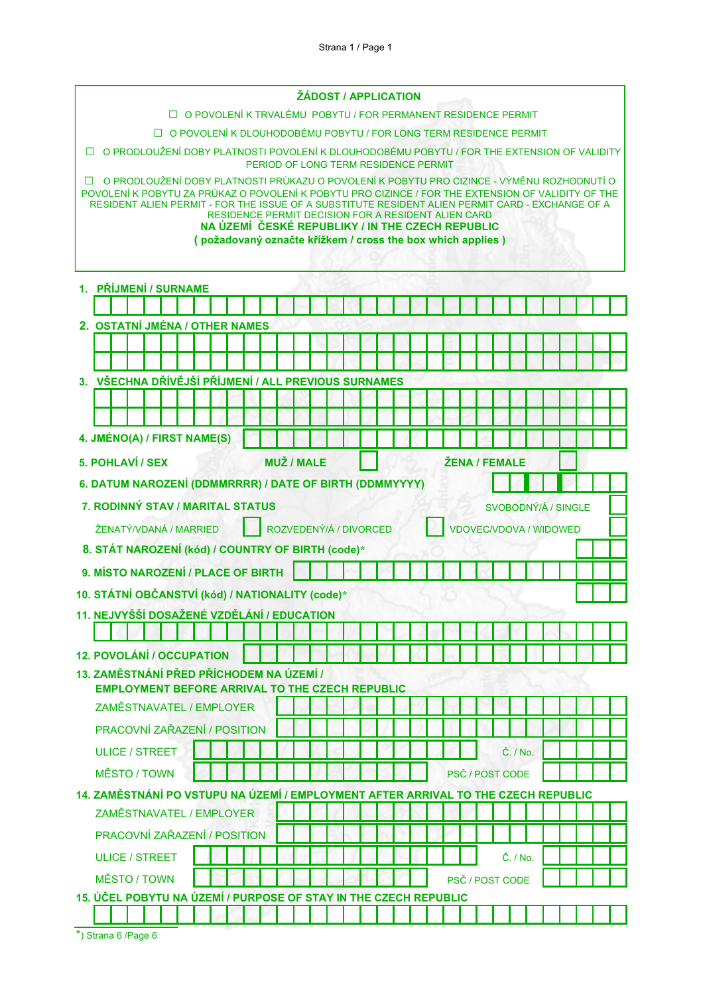|                                                                                                                                                                                                                                                                                                                                                                                                                                                                                           |                                      |  | <b>ŽÁDOST / APPLICATION</b> |  |                               |  |  |                        |  |  |  |  |  |  |
|-------------------------------------------------------------------------------------------------------------------------------------------------------------------------------------------------------------------------------------------------------------------------------------------------------------------------------------------------------------------------------------------------------------------------------------------------------------------------------------------|--------------------------------------|--|-----------------------------|--|-------------------------------|--|--|------------------------|--|--|--|--|--|--|
| □ O POVOLENÍ K TRVALÉMU POBYTU / FOR PERMANENT RESIDENCE PERMIT                                                                                                                                                                                                                                                                                                                                                                                                                           |                                      |  |                             |  |                               |  |  |                        |  |  |  |  |  |  |
| □ O POVOLENÍ K DLOUHODOBÉMU POBYTU / FOR LONG TERM RESIDENCE PERMIT                                                                                                                                                                                                                                                                                                                                                                                                                       |                                      |  |                             |  |                               |  |  |                        |  |  |  |  |  |  |
| □ O PRODLOUŽENÍ DOBY PLATNOSTI POVOLENÍ K DLOUHODOBÉMU POBYTU / FOR THE EXTENSION OF VALIDITY                                                                                                                                                                                                                                                                                                                                                                                             |                                      |  |                             |  |                               |  |  |                        |  |  |  |  |  |  |
|                                                                                                                                                                                                                                                                                                                                                                                                                                                                                           | PERIOD OF LONG TERM RESIDENCE PERMIT |  |                             |  |                               |  |  |                        |  |  |  |  |  |  |
| O PRODLOUŽENÍ DOBY PLATNOSTI PRŮKAZU O POVOLENÍ K POBYTU PRO CIZINCE - VÝMĚNU ROZHODNUTÍ O<br>П<br>POVOLENÍ K POBYTU ZA PRŮKAZ O POVOLENÍ K POBYTU PRO CIZINCE / FOR THE EXTENSION OF VALIDITY OF THE<br>RESIDENT ALIEN PERMIT - FOR THE ISSUE OF A SUBSTITUTE RESIDENT ALIEN PERMIT CARD - EXCHANGE OF A<br><b>RESIDENCE PERMIT DECISION FOR A RESIDENT ALIEN CARD</b><br>NA ÚZEMÍ ČESKÉ REPUBLIKY / IN THE CZECH REPUBLIC<br>(požadovaný označte křížkem / cross the box which applies) |                                      |  |                             |  |                               |  |  |                        |  |  |  |  |  |  |
|                                                                                                                                                                                                                                                                                                                                                                                                                                                                                           |                                      |  |                             |  |                               |  |  |                        |  |  |  |  |  |  |
| 1. PŘÍJMENÍ / SURNAME                                                                                                                                                                                                                                                                                                                                                                                                                                                                     |                                      |  |                             |  |                               |  |  |                        |  |  |  |  |  |  |
|                                                                                                                                                                                                                                                                                                                                                                                                                                                                                           |                                      |  |                             |  |                               |  |  |                        |  |  |  |  |  |  |
| 2. OSTATNÍ JMÉNA / OTHER NAMES                                                                                                                                                                                                                                                                                                                                                                                                                                                            |                                      |  |                             |  |                               |  |  |                        |  |  |  |  |  |  |
|                                                                                                                                                                                                                                                                                                                                                                                                                                                                                           |                                      |  |                             |  |                               |  |  |                        |  |  |  |  |  |  |
|                                                                                                                                                                                                                                                                                                                                                                                                                                                                                           |                                      |  |                             |  |                               |  |  |                        |  |  |  |  |  |  |
| 3. VŠECHNA DŘÍVĚJŠÍ PŘÍJMENÍ / ALL PREVIOUS SURNAMES                                                                                                                                                                                                                                                                                                                                                                                                                                      |                                      |  |                             |  |                               |  |  |                        |  |  |  |  |  |  |
|                                                                                                                                                                                                                                                                                                                                                                                                                                                                                           |                                      |  |                             |  |                               |  |  |                        |  |  |  |  |  |  |
|                                                                                                                                                                                                                                                                                                                                                                                                                                                                                           |                                      |  |                             |  |                               |  |  |                        |  |  |  |  |  |  |
| 4. JMÉNO(A) / FIRST NAME(S)                                                                                                                                                                                                                                                                                                                                                                                                                                                               |                                      |  |                             |  |                               |  |  |                        |  |  |  |  |  |  |
| 5. POHLAVÍ / SEX                                                                                                                                                                                                                                                                                                                                                                                                                                                                          | <b>MUŽ / MALE</b>                    |  |                             |  |                               |  |  | <b>ŽENA / FEMALE</b>   |  |  |  |  |  |  |
| 6. DATUM NAROZENÍ (DDMMRRRR) / DATE OF BIRTH (DDMMYYYY)                                                                                                                                                                                                                                                                                                                                                                                                                                   |                                      |  |                             |  |                               |  |  |                        |  |  |  |  |  |  |
| 7. RODINNÝ STAV / MARITAL STATUS                                                                                                                                                                                                                                                                                                                                                                                                                                                          |                                      |  |                             |  |                               |  |  | SVOBODNÝ/Á / SINGLE    |  |  |  |  |  |  |
| ŽENATÝ/VDANÁ / MARRIED                                                                                                                                                                                                                                                                                                                                                                                                                                                                    |                                      |  | ROZVEDENÝ/Á / DIVORCED      |  | <b>VDOVEC/VDOVA / WIDOWED</b> |  |  |                        |  |  |  |  |  |  |
| 8. STÁT NAROZENÍ (kód) / COUNTRY OF BIRTH (code)*                                                                                                                                                                                                                                                                                                                                                                                                                                         |                                      |  |                             |  |                               |  |  |                        |  |  |  |  |  |  |
| 9. MÍSTO NAROZENÍ / PLACE OF BIRTH                                                                                                                                                                                                                                                                                                                                                                                                                                                        |                                      |  |                             |  |                               |  |  |                        |  |  |  |  |  |  |
| 10. STÁTNÍ OBČANSTVÍ (kód) / NATIONALITY (code)*                                                                                                                                                                                                                                                                                                                                                                                                                                          |                                      |  |                             |  |                               |  |  |                        |  |  |  |  |  |  |
| 11. NEJVYŠŠÍ DOSAŽENÉ VZDĚLÁNÍ / EDUCATION                                                                                                                                                                                                                                                                                                                                                                                                                                                |                                      |  |                             |  |                               |  |  |                        |  |  |  |  |  |  |
|                                                                                                                                                                                                                                                                                                                                                                                                                                                                                           |                                      |  |                             |  |                               |  |  |                        |  |  |  |  |  |  |
| <b>12. POVOLÁNÍ / OCCUPATION</b>                                                                                                                                                                                                                                                                                                                                                                                                                                                          |                                      |  |                             |  |                               |  |  |                        |  |  |  |  |  |  |
| 13. ZAMĚSTNÁNÍ PŘED PŘÍCHODEM NA ÚZEMÍ /<br><b>EMPLOYMENT BEFORE ARRIVAL TO THE CZECH REPUBLIC</b>                                                                                                                                                                                                                                                                                                                                                                                        |                                      |  |                             |  |                               |  |  |                        |  |  |  |  |  |  |
| ZAMĚSTNAVATEL / EMPLOYER                                                                                                                                                                                                                                                                                                                                                                                                                                                                  |                                      |  |                             |  |                               |  |  |                        |  |  |  |  |  |  |
| PRACOVNÍ ZAŘAZENÍ / POSITION                                                                                                                                                                                                                                                                                                                                                                                                                                                              |                                      |  |                             |  |                               |  |  |                        |  |  |  |  |  |  |
| <b>ULICE / STREET</b>                                                                                                                                                                                                                                                                                                                                                                                                                                                                     |                                      |  |                             |  |                               |  |  | Č. / No.               |  |  |  |  |  |  |
| MĚSTO / TOWN                                                                                                                                                                                                                                                                                                                                                                                                                                                                              |                                      |  |                             |  |                               |  |  | <b>PSČ / POST CODE</b> |  |  |  |  |  |  |
| 14. ZAMĚSTNÁNÍ PO VSTUPU NA ÚZEMÍ / EMPLOYMENT AFTER ARRIVAL TO THE CZECH REPUBLIC                                                                                                                                                                                                                                                                                                                                                                                                        |                                      |  |                             |  |                               |  |  |                        |  |  |  |  |  |  |
| ZAMĚSTNAVATEL / EMPLOYER                                                                                                                                                                                                                                                                                                                                                                                                                                                                  |                                      |  |                             |  |                               |  |  |                        |  |  |  |  |  |  |
| PRACOVNÍ ZAŘAZENÍ / POSITION                                                                                                                                                                                                                                                                                                                                                                                                                                                              |                                      |  |                             |  |                               |  |  |                        |  |  |  |  |  |  |
| <b>ULICE / STREET</b>                                                                                                                                                                                                                                                                                                                                                                                                                                                                     |                                      |  |                             |  |                               |  |  | Č. / No.               |  |  |  |  |  |  |
| MĚSTO / TOWN                                                                                                                                                                                                                                                                                                                                                                                                                                                                              |                                      |  |                             |  |                               |  |  | PSČ / POST CODE        |  |  |  |  |  |  |
| 15. ÚČEL POBYTU NA ÚZEMÍ / PURPOSE OF STAY IN THE CZECH REPUBLIC                                                                                                                                                                                                                                                                                                                                                                                                                          |                                      |  |                             |  |                               |  |  |                        |  |  |  |  |  |  |
|                                                                                                                                                                                                                                                                                                                                                                                                                                                                                           |                                      |  |                             |  |                               |  |  |                        |  |  |  |  |  |  |

|  | *) Strana 6 / Page 6 |  |  |  |
|--|----------------------|--|--|--|
|--|----------------------|--|--|--|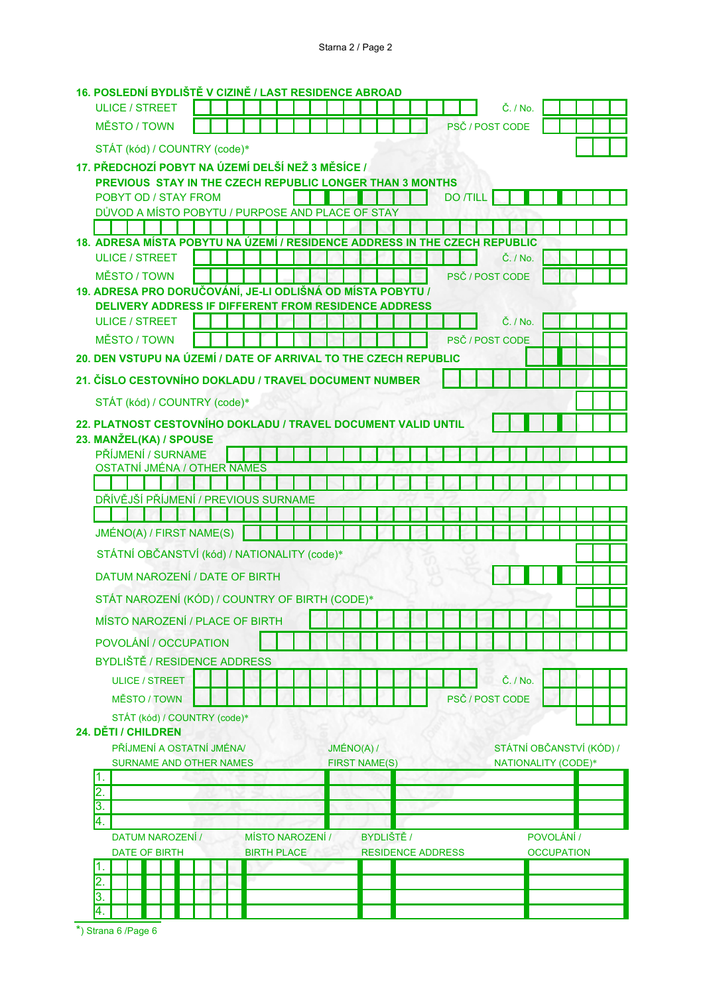## 16. POSLEDNÍ BYDLIŠTĚ V CIZINĚ / LAST RESIDENCE ABROAD

| <b>ULICE / STREET</b>                                                      |  |                    |  |                      |            |                          |                 |  | Č. / No.                 |  |                   |  |  |
|----------------------------------------------------------------------------|--|--------------------|--|----------------------|------------|--------------------------|-----------------|--|--------------------------|--|-------------------|--|--|
| <b>MĚSTO / TOWN</b>                                                        |  |                    |  |                      |            |                          |                 |  | PSČ / POST CODE          |  |                   |  |  |
| STÁT (kód) / COUNTRY (code)*                                               |  |                    |  |                      |            |                          |                 |  |                          |  |                   |  |  |
| 17. PŘEDCHOZÍ POBYT NA ÚZEMÍ DELŠÍ NEŽ 3 MĚSÍCE /                          |  |                    |  |                      |            |                          |                 |  |                          |  |                   |  |  |
| PREVIOUS STAY IN THE CZECH REPUBLIC LONGER THAN 3 MONTHS                   |  |                    |  |                      |            |                          |                 |  |                          |  |                   |  |  |
| POBYT OD / STAY FROM                                                       |  |                    |  |                      |            |                          | <b>DO /TILL</b> |  |                          |  |                   |  |  |
| DŮVOD A MÍSTO POBYTU / PURPOSE AND PLACE OF STAY                           |  |                    |  |                      |            |                          |                 |  |                          |  |                   |  |  |
| 18. ADRESA MÍSTA POBYTU NA ÚZEMÍ / RESIDENCE ADDRESS IN THE CZECH REPUBLIC |  |                    |  |                      |            |                          |                 |  |                          |  |                   |  |  |
| <b>ULICE / STREET</b>                                                      |  |                    |  |                      |            |                          |                 |  | $\check{C}$ . / No.      |  |                   |  |  |
| MĚSTO / TOWN                                                               |  |                    |  |                      |            |                          |                 |  | PSČ / POST CODE          |  |                   |  |  |
| 19. ADRESA PRO DORUČOVÁNÍ, JE-LI ODLIŠNÁ OD MÍSTA POBYTU /                 |  |                    |  |                      |            |                          |                 |  |                          |  |                   |  |  |
| <b>DELIVERY ADDRESS IF DIFFERENT FROM RESIDENCE ADDRESS</b>                |  |                    |  |                      |            |                          |                 |  |                          |  |                   |  |  |
| <b>ULICE / STREET</b>                                                      |  |                    |  |                      |            |                          |                 |  | Č. / No.                 |  |                   |  |  |
| <b>MĚSTO / TOWN</b>                                                        |  |                    |  |                      |            |                          |                 |  | PSČ / POST CODE          |  |                   |  |  |
| 20. DEN VSTUPU NA ÚZEMÍ / DATE OF ARRIVAL TO THE CZECH REPUBLIC            |  |                    |  |                      |            |                          |                 |  |                          |  |                   |  |  |
| 21. ČÍSLO CESTOVNÍHO DOKLADU / TRAVEL DOCUMENT NUMBER                      |  |                    |  |                      |            |                          |                 |  |                          |  |                   |  |  |
| STÁT (kód) / COUNTRY (code)*                                               |  |                    |  |                      |            |                          |                 |  |                          |  |                   |  |  |
| 22. PLATNOST CESTOVNÍHO DOKLADU / TRAVEL DOCUMENT VALID UNTIL              |  |                    |  |                      |            |                          |                 |  |                          |  |                   |  |  |
| 23. MANŽEL(KA) / SPOUSE                                                    |  |                    |  |                      |            |                          |                 |  |                          |  |                   |  |  |
| PŘÍJMENÍ / SURNAME                                                         |  |                    |  |                      |            |                          |                 |  |                          |  |                   |  |  |
| <b>OSTATNÍ JMÉNA / OTHER NAMES</b>                                         |  |                    |  |                      |            |                          |                 |  |                          |  |                   |  |  |
|                                                                            |  |                    |  |                      |            |                          |                 |  |                          |  |                   |  |  |
| DŘÍVĚJŠÍ PŘÍJMENÍ / PREVIOUS SURNAME                                       |  |                    |  |                      |            |                          |                 |  |                          |  |                   |  |  |
|                                                                            |  |                    |  |                      |            |                          |                 |  |                          |  |                   |  |  |
| JMÉNO(A) / FIRST NAME(S)                                                   |  |                    |  |                      |            |                          |                 |  |                          |  |                   |  |  |
| STÁTNÍ OBČANSTVÍ (kód) / NATIONALITY (code)*                               |  |                    |  |                      |            |                          |                 |  |                          |  |                   |  |  |
| DATUM NAROZENÍ / DATE OF BIRTH                                             |  |                    |  |                      |            |                          |                 |  |                          |  |                   |  |  |
| STÁT NAROZENÍ (KÓD) / COUNTRY OF BIRTH (CODE)*                             |  |                    |  |                      |            |                          |                 |  |                          |  |                   |  |  |
| MÍSTO NAROZENÍ / PLACE OF BIRTH                                            |  |                    |  |                      |            |                          |                 |  |                          |  |                   |  |  |
| POVOLÁNÍ / OCCUPATION                                                      |  |                    |  |                      |            |                          |                 |  |                          |  |                   |  |  |
| <b>BYDLIŠTĚ / RESIDENCE ADDRESS</b>                                        |  |                    |  |                      |            |                          |                 |  |                          |  |                   |  |  |
|                                                                            |  |                    |  |                      |            |                          |                 |  |                          |  |                   |  |  |
| <b>ULICE / STREET</b>                                                      |  |                    |  |                      |            |                          |                 |  | Č. / No.                 |  |                   |  |  |
| <b>MĚSTO / TOWN</b>                                                        |  |                    |  |                      |            |                          |                 |  | PSČ / POST CODE          |  |                   |  |  |
| STÁT (kód) / COUNTRY (code)*<br>24. DĚTI / CHILDREN                        |  |                    |  |                      |            |                          |                 |  |                          |  |                   |  |  |
| PŘÍJMENÍ A OSTATNÍ JMÉNA/                                                  |  |                    |  | JMÉNO(A) /           |            |                          |                 |  | STÁTNÍ OBČANSTVÍ (KÓD) / |  |                   |  |  |
| <b>SURNAME AND OTHER NAMES</b>                                             |  |                    |  | <b>FIRST NAME(S)</b> |            |                          |                 |  | NATIONALITY (CODE)*      |  |                   |  |  |
| 1.                                                                         |  |                    |  |                      |            |                          |                 |  |                          |  |                   |  |  |
| 2.                                                                         |  |                    |  |                      |            |                          |                 |  |                          |  |                   |  |  |
| $\overline{3}$ .<br>4.                                                     |  |                    |  |                      |            |                          |                 |  |                          |  |                   |  |  |
| DATUM NAROZENÍ /                                                           |  | MÍSTO NAROZENÍ /   |  |                      | BYDLIŠTĚ / |                          |                 |  |                          |  | POVOLÁNÍ /        |  |  |
| <b>DATE OF BIRTH</b>                                                       |  | <b>BIRTH PLACE</b> |  |                      |            | <b>RESIDENCE ADDRESS</b> |                 |  |                          |  | <b>OCCUPATION</b> |  |  |
| 1.                                                                         |  |                    |  |                      |            |                          |                 |  |                          |  |                   |  |  |
| 2.                                                                         |  |                    |  |                      |            |                          |                 |  |                          |  |                   |  |  |
| 3.<br>4.                                                                   |  |                    |  |                      |            |                          |                 |  |                          |  |                   |  |  |
|                                                                            |  |                    |  |                      |            |                          |                 |  |                          |  |                   |  |  |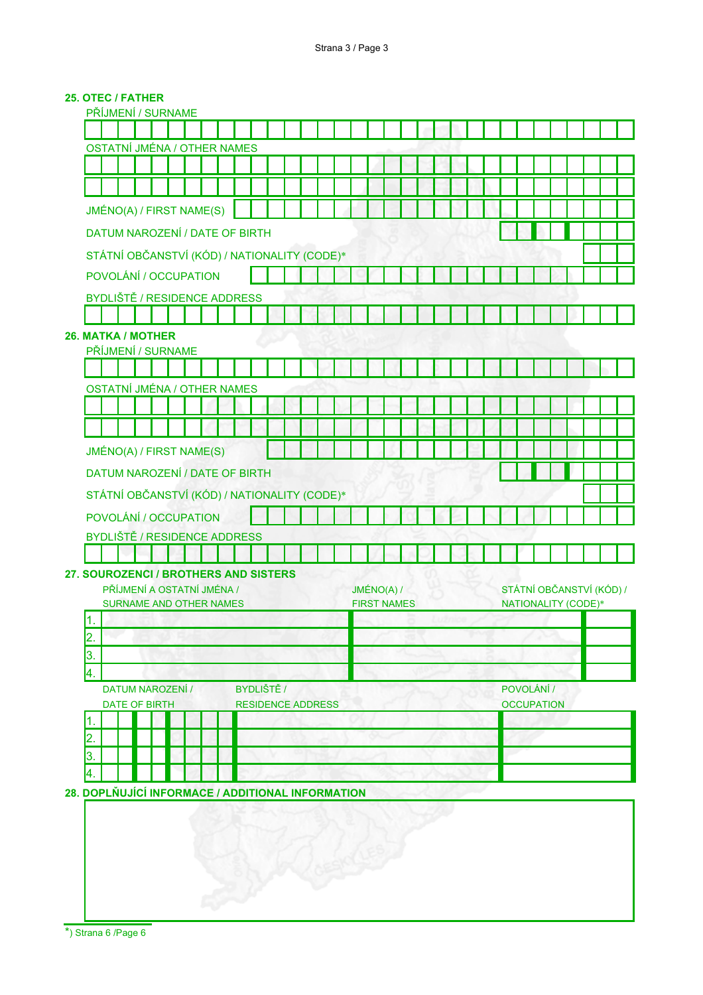## 25. OTEC / FATHER

| PŘÍJMENÍ / SURNAME                 |                                            |                                        |                                                                                                        |                                                              |                                                                                                                  |                                                                  |                                                     |  |                                                                                                                          |  |            |                    |  |  |  |  |  |            |                   |  |                                                 |  |
|------------------------------------|--------------------------------------------|----------------------------------------|--------------------------------------------------------------------------------------------------------|--------------------------------------------------------------|------------------------------------------------------------------------------------------------------------------|------------------------------------------------------------------|-----------------------------------------------------|--|--------------------------------------------------------------------------------------------------------------------------|--|------------|--------------------|--|--|--|--|--|------------|-------------------|--|-------------------------------------------------|--|
|                                    |                                            |                                        |                                                                                                        |                                                              |                                                                                                                  |                                                                  |                                                     |  |                                                                                                                          |  |            |                    |  |  |  |  |  |            |                   |  |                                                 |  |
| <b>OSTATNÍ JMÉNA / OTHER NAMES</b> |                                            |                                        |                                                                                                        |                                                              |                                                                                                                  |                                                                  |                                                     |  |                                                                                                                          |  |            |                    |  |  |  |  |  |            |                   |  |                                                 |  |
|                                    |                                            |                                        |                                                                                                        |                                                              |                                                                                                                  |                                                                  |                                                     |  |                                                                                                                          |  |            |                    |  |  |  |  |  |            |                   |  |                                                 |  |
|                                    |                                            |                                        |                                                                                                        |                                                              |                                                                                                                  |                                                                  |                                                     |  |                                                                                                                          |  |            |                    |  |  |  |  |  |            |                   |  |                                                 |  |
|                                    |                                            |                                        |                                                                                                        |                                                              |                                                                                                                  |                                                                  |                                                     |  |                                                                                                                          |  |            |                    |  |  |  |  |  |            |                   |  |                                                 |  |
|                                    |                                            |                                        |                                                                                                        |                                                              |                                                                                                                  |                                                                  |                                                     |  |                                                                                                                          |  |            |                    |  |  |  |  |  |            |                   |  |                                                 |  |
|                                    |                                            |                                        |                                                                                                        |                                                              |                                                                                                                  |                                                                  |                                                     |  |                                                                                                                          |  |            |                    |  |  |  |  |  |            |                   |  |                                                 |  |
|                                    |                                            |                                        |                                                                                                        |                                                              |                                                                                                                  |                                                                  |                                                     |  |                                                                                                                          |  |            |                    |  |  |  |  |  |            |                   |  |                                                 |  |
|                                    |                                            |                                        |                                                                                                        |                                                              |                                                                                                                  |                                                                  |                                                     |  |                                                                                                                          |  |            |                    |  |  |  |  |  |            |                   |  |                                                 |  |
|                                    |                                            |                                        |                                                                                                        |                                                              |                                                                                                                  |                                                                  |                                                     |  |                                                                                                                          |  |            |                    |  |  |  |  |  |            |                   |  |                                                 |  |
|                                    |                                            |                                        |                                                                                                        |                                                              |                                                                                                                  |                                                                  |                                                     |  |                                                                                                                          |  |            |                    |  |  |  |  |  |            |                   |  |                                                 |  |
|                                    |                                            |                                        |                                                                                                        |                                                              |                                                                                                                  |                                                                  |                                                     |  |                                                                                                                          |  |            |                    |  |  |  |  |  |            |                   |  |                                                 |  |
|                                    |                                            |                                        |                                                                                                        |                                                              |                                                                                                                  |                                                                  |                                                     |  |                                                                                                                          |  |            |                    |  |  |  |  |  |            |                   |  |                                                 |  |
|                                    |                                            |                                        |                                                                                                        |                                                              |                                                                                                                  |                                                                  |                                                     |  |                                                                                                                          |  |            |                    |  |  |  |  |  |            |                   |  |                                                 |  |
|                                    |                                            |                                        |                                                                                                        |                                                              |                                                                                                                  |                                                                  |                                                     |  |                                                                                                                          |  |            |                    |  |  |  |  |  |            |                   |  |                                                 |  |
|                                    |                                            |                                        |                                                                                                        |                                                              |                                                                                                                  |                                                                  |                                                     |  |                                                                                                                          |  |            |                    |  |  |  |  |  |            |                   |  |                                                 |  |
|                                    |                                            |                                        |                                                                                                        |                                                              |                                                                                                                  |                                                                  |                                                     |  |                                                                                                                          |  |            |                    |  |  |  |  |  |            |                   |  |                                                 |  |
|                                    |                                            |                                        |                                                                                                        |                                                              |                                                                                                                  |                                                                  |                                                     |  |                                                                                                                          |  |            |                    |  |  |  |  |  |            |                   |  |                                                 |  |
|                                    |                                            |                                        |                                                                                                        |                                                              |                                                                                                                  |                                                                  |                                                     |  |                                                                                                                          |  |            |                    |  |  |  |  |  |            |                   |  |                                                 |  |
|                                    |                                            |                                        |                                                                                                        |                                                              |                                                                                                                  |                                                                  |                                                     |  |                                                                                                                          |  |            |                    |  |  |  |  |  |            |                   |  |                                                 |  |
|                                    |                                            |                                        |                                                                                                        |                                                              |                                                                                                                  |                                                                  |                                                     |  |                                                                                                                          |  |            |                    |  |  |  |  |  |            |                   |  |                                                 |  |
|                                    |                                            |                                        |                                                                                                        |                                                              |                                                                                                                  |                                                                  |                                                     |  |                                                                                                                          |  |            |                    |  |  |  |  |  |            |                   |  |                                                 |  |
|                                    |                                            |                                        |                                                                                                        |                                                              |                                                                                                                  |                                                                  |                                                     |  |                                                                                                                          |  |            |                    |  |  |  |  |  |            |                   |  |                                                 |  |
|                                    |                                            |                                        |                                                                                                        |                                                              |                                                                                                                  |                                                                  |                                                     |  |                                                                                                                          |  |            |                    |  |  |  |  |  |            |                   |  |                                                 |  |
|                                    |                                            |                                        |                                                                                                        |                                                              |                                                                                                                  |                                                                  |                                                     |  |                                                                                                                          |  |            |                    |  |  |  |  |  |            |                   |  |                                                 |  |
|                                    |                                            |                                        |                                                                                                        |                                                              |                                                                                                                  |                                                                  |                                                     |  |                                                                                                                          |  |            |                    |  |  |  |  |  |            |                   |  |                                                 |  |
|                                    |                                            |                                        |                                                                                                        |                                                              |                                                                                                                  |                                                                  |                                                     |  |                                                                                                                          |  |            |                    |  |  |  |  |  |            |                   |  |                                                 |  |
|                                    |                                            |                                        |                                                                                                        |                                                              |                                                                                                                  |                                                                  |                                                     |  |                                                                                                                          |  |            |                    |  |  |  |  |  |            |                   |  |                                                 |  |
|                                    |                                            |                                        |                                                                                                        |                                                              |                                                                                                                  |                                                                  |                                                     |  |                                                                                                                          |  |            |                    |  |  |  |  |  |            |                   |  |                                                 |  |
|                                    |                                            |                                        |                                                                                                        |                                                              |                                                                                                                  |                                                                  |                                                     |  |                                                                                                                          |  |            |                    |  |  |  |  |  |            |                   |  |                                                 |  |
|                                    |                                            |                                        |                                                                                                        |                                                              |                                                                                                                  |                                                                  |                                                     |  |                                                                                                                          |  |            |                    |  |  |  |  |  |            |                   |  |                                                 |  |
|                                    |                                            |                                        |                                                                                                        |                                                              |                                                                                                                  |                                                                  |                                                     |  |                                                                                                                          |  |            |                    |  |  |  |  |  |            |                   |  |                                                 |  |
|                                    |                                            |                                        |                                                                                                        |                                                              |                                                                                                                  |                                                                  |                                                     |  |                                                                                                                          |  |            |                    |  |  |  |  |  |            |                   |  |                                                 |  |
|                                    |                                            |                                        |                                                                                                        |                                                              |                                                                                                                  |                                                                  |                                                     |  |                                                                                                                          |  |            |                    |  |  |  |  |  |            |                   |  |                                                 |  |
|                                    |                                            |                                        |                                                                                                        |                                                              |                                                                                                                  |                                                                  |                                                     |  |                                                                                                                          |  |            |                    |  |  |  |  |  |            |                   |  |                                                 |  |
|                                    |                                            |                                        |                                                                                                        |                                                              |                                                                                                                  |                                                                  |                                                     |  |                                                                                                                          |  |            |                    |  |  |  |  |  |            |                   |  |                                                 |  |
|                                    | 26. MATKA / MOTHER<br><b>DATE OF BIRTH</b> | PŘÍJMENÍ / SURNAME<br>DATUM NAROZENÍ / | JMÉNO(A) / FIRST NAME(S)<br>POVOLÁNÍ / OCCUPATION<br>JMÉNO(A) / FIRST NAME(S)<br>POVOLÁNÍ / OCCUPATION | PŘÍJMENÍ A OSTATNÍ JMÉNA /<br><b>SURNAME AND OTHER NAMES</b> | <b>BYDLIŠTĚ / RESIDENCE ADDRESS</b><br><b>OSTATNÍ JMÉNA / OTHER NAMES</b><br><b>BYDLIŠTĚ / RESIDENCE ADDRESS</b> | DATUM NAROZENÍ / DATE OF BIRTH<br>DATUM NAROZENÍ / DATE OF BIRTH | 27. SOUROZENCI / BROTHERS AND SISTERS<br>BYDLIŠTĚ / |  | STÁTNÍ OBČANSTVÍ (KÓD) / NATIONALITY (CODE)*<br>STÁTNÍ OBČANSTVÍ (KÓD) / NATIONALITY (CODE)*<br><b>RESIDENCE ADDRESS</b> |  | JMÉNO(A) / | <b>FIRST NAMES</b> |  |  |  |  |  | POVOLÁNÍ / | <b>OCCUPATION</b> |  | STÁTNÍ OBČANSTVÍ (KÓD) /<br>NATIONALITY (CODE)* |  |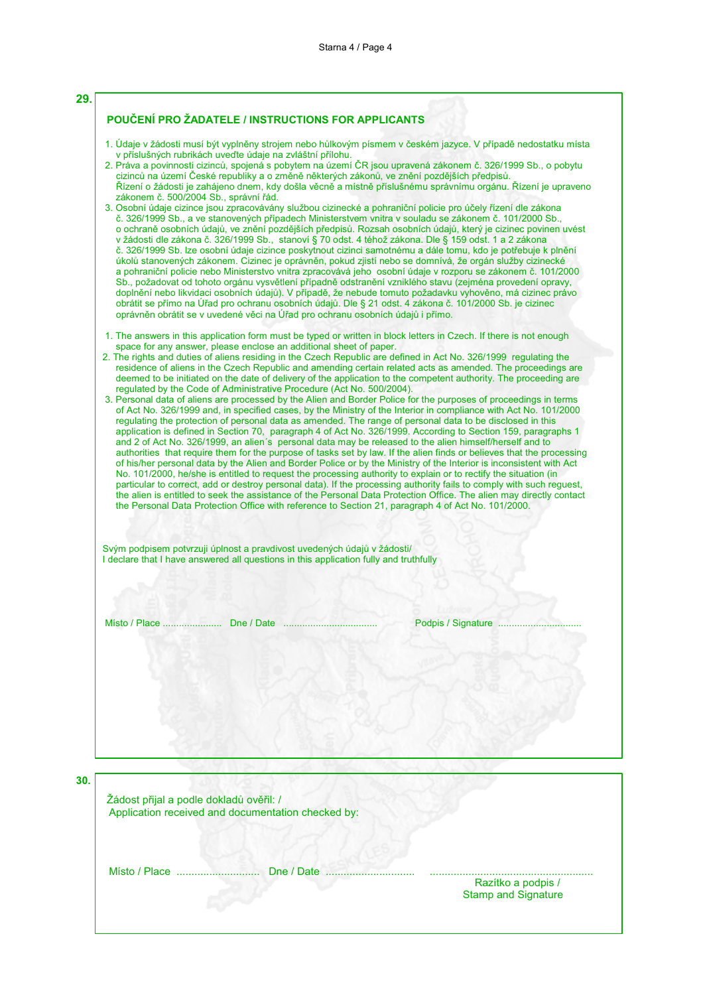| zákonem č. 500/2004 Sb., správní řád. | v příslušných rubrikách uveďte údaje na zvláštní přílohu.                                                                                                        | 1. Údaje v žádosti musí být vyplněny strojem nebo hůlkovým písmem v českém jazyce. V případě nedostatku místa<br>2. Práva a povinnosti cizinců, spojená s pobytem na území ČR jsou upravená zákonem č. 326/1999 Sb., o pobytu<br>cizinců na území České republiky a o změně některých zákonů, ve znění pozdějších předpisů.<br>Řízení o žádosti je zahájeno dnem, kdy došla věcně a místně příslušnému správnímu orgánu. Řízení je upraveno                                                                                                                                                                                                                                                                                                                                                                                                                                                                                                                                                                                                                                                                                                                                                                                                                                                                                                                                                                                                                                                                                                                                                                                                                                                                                                                                        |
|---------------------------------------|------------------------------------------------------------------------------------------------------------------------------------------------------------------|------------------------------------------------------------------------------------------------------------------------------------------------------------------------------------------------------------------------------------------------------------------------------------------------------------------------------------------------------------------------------------------------------------------------------------------------------------------------------------------------------------------------------------------------------------------------------------------------------------------------------------------------------------------------------------------------------------------------------------------------------------------------------------------------------------------------------------------------------------------------------------------------------------------------------------------------------------------------------------------------------------------------------------------------------------------------------------------------------------------------------------------------------------------------------------------------------------------------------------------------------------------------------------------------------------------------------------------------------------------------------------------------------------------------------------------------------------------------------------------------------------------------------------------------------------------------------------------------------------------------------------------------------------------------------------------------------------------------------------------------------------------------------------|
|                                       | oprávněn obrátit se v uvedené věci na Úřad pro ochranu osobních údajů i přímo.                                                                                   | 3. Osobní údaje cizince jsou zpracovávány službou cizinecké a pohraniční policie pro účely řízení dle zákona<br>č. 326/1999 Sb., a ve stanovených případech Ministerstvem vnitra v souladu se zákonem č. 101/2000 Sb.,<br>o ochraně osobních údajů, ve znění pozdějších předpisů. Rozsah osobních údajů, který je cizinec povinen uvést<br>v žádosti dle zákona č. 326/1999 Sb., stanoví § 70 odst. 4 téhož zákona. Dle § 159 odst. 1 a 2 zákona<br>č. 326/1999 Sb. lze osobní údaje cizince poskytnout cizinci samotnému a dále tomu, kdo je potřebuje k plnění<br>úkolů stanovených zákonem. Cizinec je oprávněn, pokud zjistí nebo se domnívá, že orgán služby cizinecké<br>a pohraniční policie nebo Ministerstvo vnitra zpracovává jeho osobní údaje v rozporu se zákonem č. 101/2000<br>Sb., požadovat od tohoto orgánu vysvětlení případně odstranění vzniklého stavu (zejména provedení opravy,<br>doplnění nebo likvidaci osobních údajů). V případě, že nebude tomuto požadavku vyhověno, má cizinec právo<br>obrátit se přímo na Úřad pro ochranu osobních údajů. Dle § 21 odst. 4 zákona č. 101/2000 Sb. je cizinec                                                                                                                                                                                                                                                                                                                                                                                                                                                                                                                                                                                                                                                    |
|                                       | space for any answer, please enclose an additional sheet of paper.<br>regulated by the Code of Administrative Procedure (Act No. 500/2004).                      | 1. The answers in this application form must be typed or written in block letters in Czech. If there is not enough<br>2. The rights and duties of aliens residing in the Czech Republic are defined in Act No. 326/1999 regulating the<br>residence of aliens in the Czech Republic and amending certain related acts as amended. The proceedings are<br>deemed to be initiated on the date of delivery of the application to the competent authority. The proceeding are<br>3. Personal data of aliens are processed by the Alien and Border Police for the purposes of proceedings in terms<br>of Act No. 326/1999 and, in specified cases, by the Ministry of the Interior in compliance with Act No. 101/2000<br>regulating the protection of personal data as amended. The range of personal data to be disclosed in this<br>application is defined in Section 70, paragraph 4 of Act No. 326/1999. According to Section 159, paragraphs 1<br>and 2 of Act No. 326/1999, an alien's personal data may be released to the alien himself/herself and to<br>authorities that require them for the purpose of tasks set by law. If the alien finds or believes that the processing<br>of his/her personal data by the Alien and Border Police or by the Ministry of the Interior is inconsistent with Act<br>No. 101/2000, he/she is entitled to request the processing authority to explain or to rectify the situation (in<br>particular to correct, add or destroy personal data). If the processing authority fails to comply with such reguest,<br>the alien is entitled to seek the assistance of the Personal Data Protection Office. The alien may directly contact<br>the Personal Data Protection Office with reference to Section 21, paragraph 4 of Act No. 101/2000. |
|                                       | Svým podpisem potvrzuji úplnost a pravdivost uvedených údajů v žádosti/<br>I declare that I have answered all questions in this application fully and truthfully |                                                                                                                                                                                                                                                                                                                                                                                                                                                                                                                                                                                                                                                                                                                                                                                                                                                                                                                                                                                                                                                                                                                                                                                                                                                                                                                                                                                                                                                                                                                                                                                                                                                                                                                                                                                    |
|                                       |                                                                                                                                                                  | Podpis / Signature                                                                                                                                                                                                                                                                                                                                                                                                                                                                                                                                                                                                                                                                                                                                                                                                                                                                                                                                                                                                                                                                                                                                                                                                                                                                                                                                                                                                                                                                                                                                                                                                                                                                                                                                                                 |

**5**

Žádost přijal a podle dokladů ověřil: / Application received and documentation checked by:

FB-& K<%%%%%%%%%%%%%%%%%%%%%%%%%%%%-

%%%%%%%%%%%%%%%%%%%%%%%%%%%%%%%%%%%%%%%%%%%%%%%%%%%%%%%%%%%%%%%%%%%%%%%%%%%%%%%%%%%%% **Contract of the contract of the contract of the contract of the contract of the contract of the contract of the contract of the contract of the contract of the contract of the contract of the contract of the contract of t** 

ko a podpis / the start of the start of the start of the start of the start of the Start of Signature